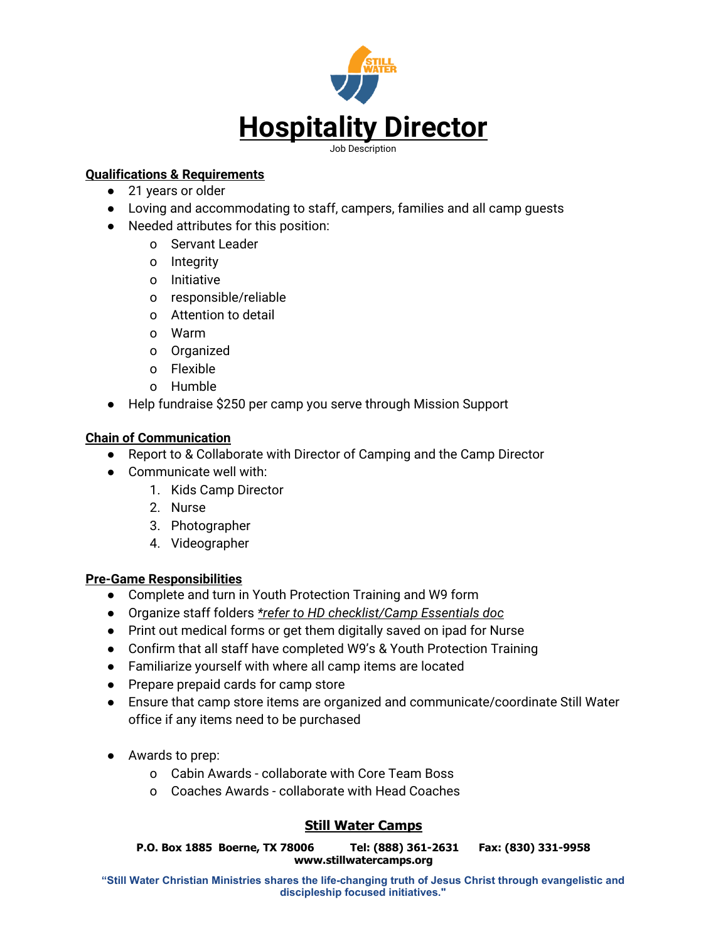

## **Qualifications & Requirements**

- 21 years or older
- Loving and accommodating to staff, campers, families and all camp guests
- Needed attributes for this position:
	- o Servant Leader
	- o Integrity
	- o Initiative
	- o responsible/reliable
	- o Attention to detail
	- o Warm
	- o Organized
	- o Flexible
	- o Humble
- Help fundraise \$250 per camp you serve through Mission Support

## **Chain of Communication**

- Report to & Collaborate with Director of Camping and the Camp Director
- Communicate well with:
	- 1. Kids Camp Director
	- 2. Nurse
	- 3. Photographer
	- 4. Videographer

## **Pre-Game Responsibilities**

- Complete and turn in Youth Protection Training and W9 form
- Organize staff folders *\*refer to HD checklist/Camp Essentials doc*
- Print out medical forms or get them digitally saved on ipad for Nurse
- Confirm that all staff have completed W9's & Youth Protection Training
- Familiarize yourself with where all camp items are located
- Prepare prepaid cards for camp store
- Ensure that camp store items are organized and communicate/coordinate Still Water office if any items need to be purchased
- Awards to prep:
	- o Cabin Awards collaborate with Core Team Boss
	- o Coaches Awards collaborate with Head Coaches

# **Still Water Camps**

**P.O. Box 1885 Boerne, TX 78006 Tel: (888) 361-2631 Fax: (830) 331-9958 www.stillwatercamps.org**

**"Still Water Christian Ministries shares the life-changing truth of Jesus Christ through evangelistic and discipleship focused initiatives."**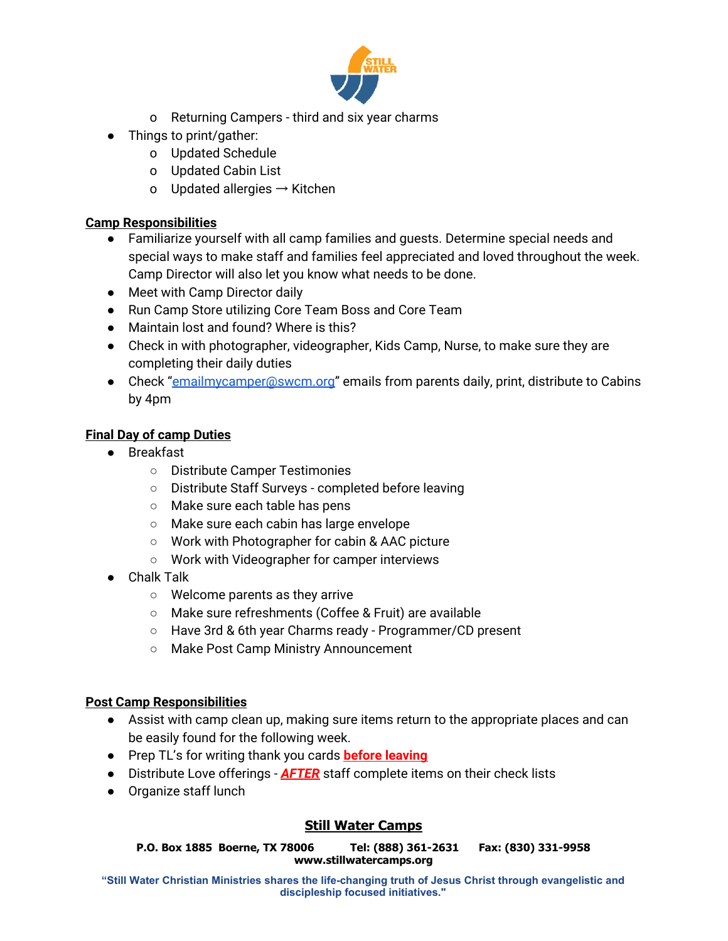

- o Returning Campers third and six year charms
- Things to print/gather:
	- o Updated Schedule
	- o Updated Cabin List
	- o Updated allergies  $\rightarrow$  Kitchen

### **Camp Responsibilities**

- Familiarize yourself with all camp families and guests. Determine special needs and special ways to make staff and families feel appreciated and loved throughout the week. Camp Director will also let you know what needs to be done.
- Meet with Camp Director daily
- Run Camp Store utilizing Core Team Boss and Core Team
- Maintain lost and found? Where is this?
- Check in with photographer, videographer, Kids Camp, Nurse, to make sure they are completing their daily duties
- Check "[emailmycamper@swcm.org"](mailto:emailmycamper@swcm.org) emails from parents daily, print, distribute to Cabins by 4pm

## **Final Day of camp Duties**

- Breakfast
	- Distribute Camper Testimonies
	- Distribute Staff Surveys completed before leaving
	- Make sure each table has pens
	- Make sure each cabin has large envelope
	- Work with Photographer for cabin & AAC picture
	- Work with Videographer for camper interviews
- Chalk Talk
	- Welcome parents as they arrive
	- Make sure refreshments (Coffee & Fruit) are available
	- Have 3rd & 6th year Charms ready Programmer/CD present
	- Make Post Camp Ministry Announcement

## **Post Camp Responsibilities**

- Assist with camp clean up, making sure items return to the appropriate places and can be easily found for the following week.
- Prep TL's for writing thank you cards **before leaving**
- Distribute Love offerings **AFTER** staff complete items on their check lists
- Organize staff lunch

## **Still Water Camps**

**P.O. Box 1885 Boerne, TX 78006 Tel: (888) 361-2631 Fax: (830) 331-9958 www.stillwatercamps.org**

**"Still Water Christian Ministries shares the life-changing truth of Jesus Christ through evangelistic and discipleship focused initiatives."**